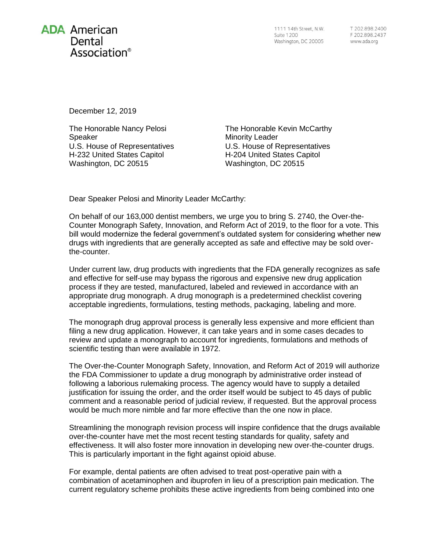

1111 14th Street, N.W. **Suite 1200** Washington, DC 20005

December 12, 2019

The Honorable Nancy Pelosi Speaker U.S. House of Representatives H-232 United States Capitol Washington, DC 20515

The Honorable Kevin McCarthy Minority Leader U.S. House of Representatives H-204 United States Capitol Washington, DC 20515

Dear Speaker Pelosi and Minority Leader McCarthy:

On behalf of our 163,000 dentist members, we urge you to bring S. 2740, the Over-the-Counter Monograph Safety, Innovation, and Reform Act of 2019, to the floor for a vote. This bill would modernize the federal government's outdated system for considering whether new drugs with ingredients that are generally accepted as safe and effective may be sold overthe-counter.

Under current law, drug products with ingredients that the FDA generally recognizes as safe and effective for self-use may bypass the rigorous and expensive new drug application process if they are tested, manufactured, labeled and reviewed in accordance with an appropriate drug monograph. A drug monograph is a predetermined checklist covering acceptable ingredients, formulations, testing methods, packaging, labeling and more.

The monograph drug approval process is generally less expensive and more efficient than filing a new drug application. However, it can take years and in some cases decades to review and update a monograph to account for ingredients, formulations and methods of scientific testing than were available in 1972.

The Over-the-Counter Monograph Safety, Innovation, and Reform Act of 2019 will authorize the FDA Commissioner to update a drug monograph by administrative order instead of following a laborious rulemaking process. The agency would have to supply a detailed justification for issuing the order, and the order itself would be subject to 45 days of public comment and a reasonable period of judicial review, if requested. But the approval process would be much more nimble and far more effective than the one now in place.

Streamlining the monograph revision process will inspire confidence that the drugs available over-the-counter have met the most recent testing standards for quality, safety and effectiveness. It will also foster more innovation in developing new over-the-counter drugs. This is particularly important in the fight against opioid abuse.

For example, dental patients are often advised to treat post-operative pain with a combination of acetaminophen and ibuprofen in lieu of a prescription pain medication. The current regulatory scheme prohibits these active ingredients from being combined into one